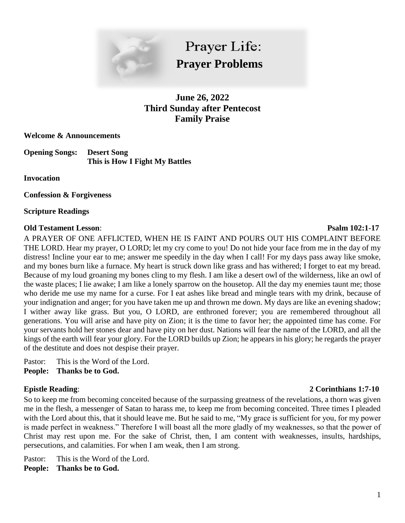

Prayer Life: **Prayer Problems**

**June 26, 2022 Third Sunday after Pentecost Family Praise**

**Welcome & Announcements**

**Opening Songs: Desert Song This is How I Fight My Battles**

**Invocation**

**Confession & Forgiveness**

**Scripture Readings**

## **Old Testament Lesson**: **Psalm 102:1-17**

A PRAYER OF ONE AFFLICTED, WHEN HE IS FAINT AND POURS OUT HIS COMPLAINT BEFORE THE LORD. Hear my prayer, O LORD; let my cry come to you! Do not hide your face from me in the day of my distress! Incline your ear to me; answer me speedily in the day when I call! For my days pass away like smoke, and my bones burn like a furnace. My heart is struck down like grass and has withered; I forget to eat my bread. Because of my loud groaning my bones cling to my flesh. I am like a desert owl of the wilderness, like an owl of the waste places; I lie awake; I am like a lonely sparrow on the housetop. All the day my enemies taunt me; those who deride me use my name for a curse. For I eat ashes like bread and mingle tears with my drink, because of your indignation and anger; for you have taken me up and thrown me down. My days are like an evening shadow; I wither away like grass. But you, O LORD, are enthroned forever; you are remembered throughout all generations. You will arise and have pity on Zion; it is the time to favor her; the appointed time has come. For your servants hold her stones dear and have pity on her dust. Nations will fear the name of the LORD, and all the kings of the earth will fear your glory. For the LORD builds up Zion; he appears in his glory; he regards the prayer of the destitute and does not despise their prayer.

Pastor: This is the Word of the Lord. **People: Thanks be to God.**

# **Epistle Reading**: **2 Corinthians 1:7-10**

So to keep me from becoming conceited because of the surpassing greatness of the revelations, a thorn was given me in the flesh, a messenger of Satan to harass me, to keep me from becoming conceited. Three times I pleaded with the Lord about this, that it should leave me. But he said to me, "My grace is sufficient for you, for my power is made perfect in weakness." Therefore I will boast all the more gladly of my weaknesses, so that the power of Christ may rest upon me. For the sake of Christ, then, I am content with weaknesses, insults, hardships, persecutions, and calamities. For when I am weak, then I am strong.

Pastor: This is the Word of the Lord. **People: Thanks be to God.**